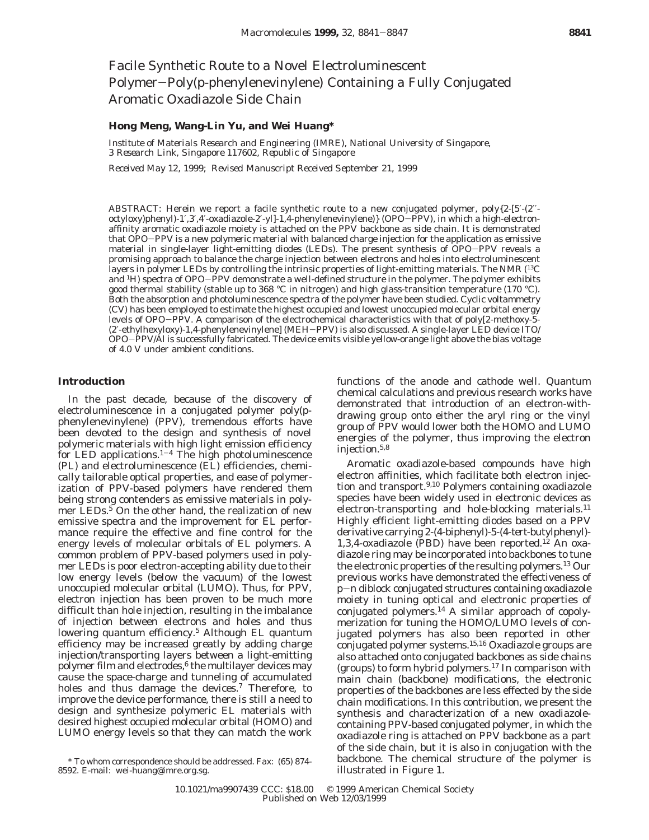# Facile Synthetic Route to a Novel Electroluminescent Polymer-Poly(*p*-phenylenevinylene) Containing a Fully Conjugated Aromatic Oxadiazole Side Chain

## **Hong Meng, Wang-Lin Yu, and Wei Huang\***

*Institute of Materials Research and Engineering (IMRE), National University of Singapore, 3 Research Link, Singapore 117602, Republic of Singapore*

*Received May 12, 1999; Revised Manuscript Received September 21, 1999*

ABSTRACT: Herein we report a facile synthetic route to a new conjugated polymer, poly{2-[5′-(2′′ octyloxy)phenyl)-1′,3′,4′-oxadiazole-2′-yl]-1,4-phenylenevinylene)} (OPO-PPV), in which a high-electronaffinity aromatic oxadiazole moiety is attached on the PPV backbone as side chain. It is demonstrated that OPO-PPV is a new polymeric material with balanced charge injection for the application as emissive material in single-layer light-emitting diodes (LEDs). The present synthesis of OPO-PPV reveals a promising approach to balance the charge injection between electrons and holes into electroluminescent layers in polymer LEDs by controlling the intrinsic properties of light-emitting materials. The NMR (<sup>13</sup>C and 1H) spectra of OPO-PPV demonstrate a well-defined structure in the polymer. The polymer exhibits good thermal stability (stable up to 368 °C in nitrogen) and high glass-transition temperature (170 °C). Both the absorption and photoluminescence spectra of the polymer have been studied. Cyclic voltammetry (CV) has been employed to estimate the highest occupied and lowest unoccupied molecular orbital energy levels of OPO-PPV. A comparison of the electrochemical characteristics with that of poly[2-methoxy-5- (2′-ethylhexyloxy)-1,4-phenylenevinylene] (MEH-PPV) is also discussed. A single-layer LED device ITO/ OPO-PPV/Al is successfully fabricated. The device emits visible yellow-orange light above the bias voltage of 4.0 V under ambient conditions.

### **Introduction**

In the past decade, because of the discovery of electroluminescence in a conjugated polymer poly(*p*phenylenevinylene) (PPV), tremendous efforts have been devoted to the design and synthesis of novel polymeric materials with high light emission efficiency for LED applications. $1-4$  The high photoluminescence (PL) and electroluminescence (EL) efficiencies, chemically tailorable optical properties, and ease of polymerization of PPV-based polymers have rendered them being strong contenders as emissive materials in polymer LEDs. $5$  On the other hand, the realization of new emissive spectra and the improvement for EL performance require the effective and fine control for the energy levels of molecular orbitals of EL polymers. A common problem of PPV-based polymers used in polymer LEDs is poor electron-accepting ability due to their low energy levels (below the vacuum) of the lowest unoccupied molecular orbital (LUMO). Thus, for PPV, electron injection has been proven to be much more difficult than hole injection, resulting in the imbalance of injection between electrons and holes and thus lowering quantum efficiency.<sup>5</sup> Although EL quantum efficiency may be increased greatly by adding charge injection/transporting layers between a light-emitting polymer film and electrodes, $6$  the multilayer devices may cause the space-charge and tunneling of accumulated holes and thus damage the devices.<sup>7</sup> Therefore, to improve the device performance, there is still a need to design and synthesize polymeric EL materials with desired highest occupied molecular orbital (HOMO) and LUMO energy levels so that they can match the work

functions of the anode and cathode well. Quantum chemical calculations and previous research works have demonstrated that introduction of an electron-withdrawing group onto either the aryl ring or the vinyl group of PPV would lower both the HOMO and LUMO energies of the polymer, thus improving the electron injection.5,8

Aromatic oxadiazole-based compounds have high electron affinities, which facilitate both electron injection and transport.<sup>9,10</sup> Polymers containing oxadiazole species have been widely used in electronic devices as electron-transporting and hole-blocking materials.<sup>11</sup> Highly efficient light-emitting diodes based on a PPV derivative carrying 2-(4-biphenyl)-5-(4-*tert*-butylphenyl)- 1,3,4-oxadiazole (PBD) have been reported.<sup>12</sup> An oxadiazole ring may be incorporated into backbones to tune the electronic properties of the resulting polymers.13 Our previous works have demonstrated the effectiveness of *<sup>p</sup>*-*<sup>n</sup>* diblock conjugated structures containing oxadiazole moiety in tuning optical and electronic properties of conjugated polymers.14 A similar approach of copolymerization for tuning the HOMO/LUMO levels of conjugated polymers has also been reported in other conjugated polymer systems.15,16 Oxadiazole groups are also attached onto conjugated backbones as side chains (groups) to form hybrid polymers.17 In comparison with main chain (backbone) modifications, the electronic properties of the backbones are less effected by the side chain modifications. In this contribution, we present the synthesis and characterization of a new oxadiazolecontaining PPV-based conjugated polymer, in which the oxadiazole ring is attached on PPV backbone as a part of the side chain, but it is also in conjugation with the backbone. The chemical structure of the polymer is

to whom correspondence should be addressed. Fax: (65) 874-hoackbone. The chemical parallel be addressed. Fax:<br>Illustrated in Figure 1. 8592. E-mail: wei-huang@imre.org.sg.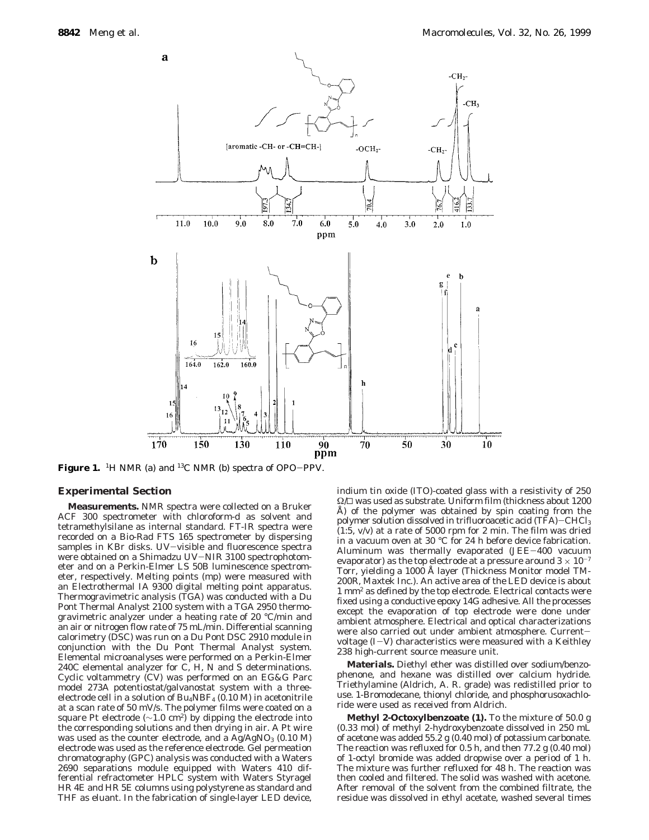

Figure 1. <sup>1</sup>H NMR (a) and <sup>13</sup>C NMR (b) spectra of OPO-PPV.

#### **Experimental Section**

**Measurements***.* NMR spectra were collected on a Bruker ACF 300 spectrometer with chloroform-*d* as solvent and tetramethylsilane as internal standard. FT-IR spectra were recorded on a Bio-Rad FTS 165 spectrometer by dispersing samples in KBr disks. UV-visible and fluorescence spectra were obtained on a Shimadzu UV-NIR 3100 spectrophotometer and on a Perkin-Elmer LS 50B luminescence spectrometer, respectively. Melting points (mp) were measured with an Electrothermal IA 9300 digital melting point apparatus. Thermogravimetric analysis (TGA) was conducted with a Du Pont Thermal Analyst 2100 system with a TGA 2950 thermogravimetric analyzer under a heating rate of 20 °C/min and an air or nitrogen flow rate of 75 mL/min. Differential scanning calorimetry (DSC) was run on a Du Pont DSC 2910 module in conjunction with the Du Pont Thermal Analyst system. Elemental microanalyses were performed on a Perkin-Elmer 240C elemental analyzer for C, H, N and S determinations. Cyclic voltammetry (CV) was performed on an EG&G Parc model 273A potentiostat/galvanostat system with a threeelectrode cell in a solution of  $Bu<sub>4</sub>NBF<sub>4</sub>$  (0.10 M) in acetonitrile at a scan rate of 50 mV/s. The polymer films were coated on a square Pt electrode ( $\sim$ 1.0 cm<sup>2</sup>) by dipping the electrode into the corresponding solutions and then drying in air. A Pt wire was used as the counter electrode, and a  $Ag/AgNO<sub>3</sub>$  (0.10 M) electrode was used as the reference electrode. Gel permeation chromatography (GPC) analysis was conducted with a Waters 2690 separations module equipped with Waters 410 differential refractometer HPLC system with Waters Styragel HR 4E and HR 5E columns using polystyrene as standard and THF as eluant. In the fabrication of single-layer LED device,

indium tin oxide (ITO)-coated glass with a resistivity of 250  $\Omega/\square$  was used as substrate. Uniform film (thickness about 1200 Å) of the polymer was obtained by spin coating from the polymer solution dissolved in trifluoroacetic acid (TFA)-CHCl3 (1:5, v/v) at a rate of 5000 rpm for 2 min. The film was dried in a vacuum oven at 30 °C for 24 h before device fabrication. Aluminum was thermally evaporated (JEE-400 vacuum evaporator) as the top electrode at a pressure around  $3 \times 10^{-7}$ Torr, yielding a 1000 Å layer (Thickness Monitor model TM-200R, Maxtek Inc.). An active area of the LED device is about 1 mm2 as defined by the top electrode. Electrical contacts were fixed using a conductive epoxy 14G adhesive. All the processes except the evaporation of top electrode were done under ambient atmosphere. Electrical and optical characterizations were also carried out under ambient atmosphere. Currentvoltage (*I*-*V*) characteristics were measured with a Keithley 238 high-current source measure unit.

**Materials.** Diethyl ether was distilled over sodium/benzophenone, and hexane was distilled over calcium hydride. Triethylamine (Aldrich, A. R. grade) was redistilled prior to use. 1-Bromodecane, thionyl chloride, and phosphorusoxachloride were used as received from Aldrich.

**Methyl 2-Octoxylbenzoate (1).** To the mixture of 50.0 g (0.33 mol) of methyl 2-hydroxybenzoate dissolved in 250 mL of acetone was added 55.2 g (0.40 mol) of potassium carbonate. The reaction was refluxed for 0.5 h, and then 77.2 g (0.40 mol) of 1-octyl bromide was added dropwise over a period of 1 h. The mixture was further refluxed for 48 h. The reaction was then cooled and filtered. The solid was washed with acetone. After removal of the solvent from the combined filtrate, the residue was dissolved in ethyl acetate, washed several times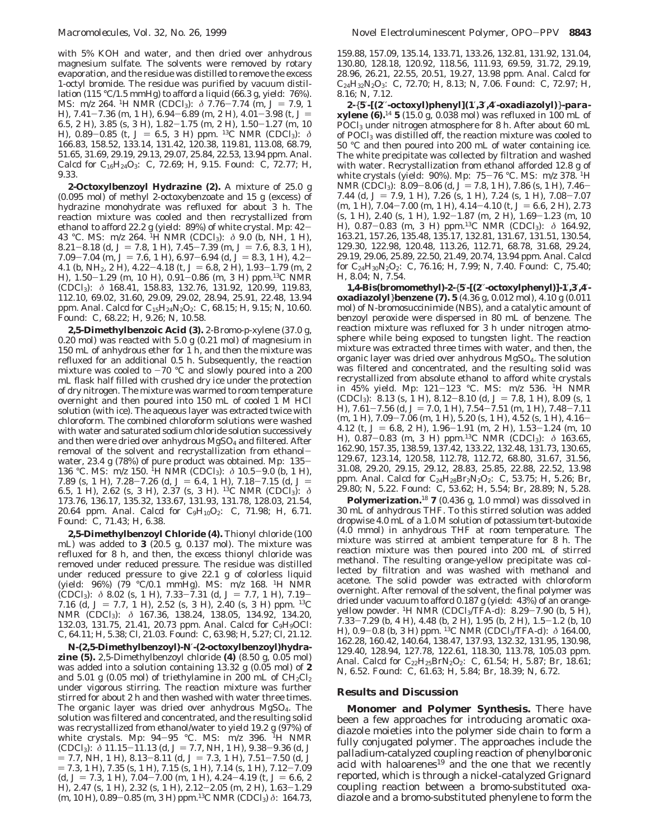with 5% KOH and water, and then dried over anhydrous magnesium sulfate. The solvents were removed by rotary evaporation, and the residue was distilled to remove the excess 1-octyl bromide. The residue was purified by vacuum distillation (115 °C/1.5 mmHg) to afford a liquid (66.3 g, yield: 76%). MS:  $m/z$  264. <sup>1</sup>H NMR (CDCl<sub>3</sub>):  $\delta$  7.76–7.74 (m,  $J = 7.9, 1$ ) H),  $7.41 - 7.36$  (m, 1 H),  $6.94 - 6.89$  (m, 2 H),  $4.01 - 3.98$  (t,  $J =$ 6.5, 2 H), 3.85 (s, 3 H), 1.82-1.75 (m, 2 H), 1.50-1.27 (m, 10 H), 0.89-0.85 (t, *J* = 6.5, 3 H) ppm. <sup>13</sup>C NMR (CDCl<sub>3</sub>): *δ* 166.83, 158.52, 133.14, 131.42, 120.38, 119.81, 113.08, 68.79, 51.65, 31.69, 29.19, 29.13, 29.07, 25.84, 22.53, 13.94 ppm. Anal. Calcd for  $C_{16}H_{24}O_3$ : C, 72.69; H, 9.15. Found: C, 72.77; H, 9.33.

**2-Octoxylbenzoyl Hydrazine (2).** A mixture of 25.0 g (0.095 mol) of methyl 2-octoxybenzoate and 15 g (excess) of hydrazine monohydrate was refluxed for about 3 h. The reaction mixture was cooled and then recrystallized from ethanol to afford 22.2 g (yield: 89%) of white crystal. Mp: 42- 43 °C. MS: *m*/*z* 264. 1H NMR (CDCl3): *δ* 9.0 (b, NH, 1 H), 8.21-8.18 (d,  $J = 7.8$ , 1 H),  $7.45 - 7.39$  (m,  $J = 7.6$ , 8.3, 1 H),  $7.09 - 7.04$  (m,  $J = 7.6$ , 1 H),  $6.97 - 6.94$  (d,  $J = 8.3$ , 1 H),  $4.2 -$ 4.1 (b, NH<sub>2</sub>, 2 H), 4.22-4.18 (t,  $J = 6.8$ , 2 H), 1.93-1.79 (m, 2 H), 1.50-1.29 (m, 10 H), 0.91-0.86 (m, 3 H) ppm.13C NMR (CDCl3): *δ* 168.41, 158.83, 132.76, 131.92, 120.99, 119.83, 112.10, 69.02, 31.60, 29.09, 29.02, 28.94, 25.91, 22.48, 13.94 ppm. Anal. Calcd for C<sub>15</sub>H<sub>24</sub>N<sub>2</sub>O<sub>2</sub>: C, 68.15; H, 9.15; N, 10.60. Found: C, 68.22; H, 9.26; N, 10.58.

**2,5-Dimethylbenzoic Acid (3).** 2-Bromo-*p-*xylene (37.0 g, 0.20 mol) was reacted with 5.0 g (0.21 mol) of magnesium in 150 mL of anhydrous ether for 1 h, and then the mixture was refluxed for an additional 0.5 h. Subsequently, the reaction mixture was cooled to  $-70$  °C and slowly poured into a 200 mL flask half filled with crushed dry ice under the protection of dry nitrogen. The mixture was warmed to room temperature overnight and then poured into 150 mL of cooled 1 M HCl solution (with ice). The aqueous layer was extracted twice with chloroform. The combined chloroform solutions were washed with water and saturated sodium chloride solution successively and then were dried over anhydrous  $MgSO<sub>4</sub>$  and filtered. After removal of the solvent and recrystallization from ethanolwater, 23.4 g (78%) of pure product was obtained. Mp: 135- 136 °C. MS: *m*/*z* 150. <sup>1</sup>H NMR (CDCl<sub>3</sub>): *δ* 10.5-9.0 (b, 1 H), 7.89 (s, 1 H), 7.28-7.26 (d,  $J = 6.4$ , 1 H), 7.18-7.15 (d,  $J =$ 7.89 (s, 1 H), 7.28–7.26 (d, *J* = 6.4, 1 H), 7.18–7.15 (d, *J* = 6.5, 1 H), 2.62 (s, 3 H), 2.37 (s, 3 H). <sup>13</sup>C NMR (CDCl<sub>3</sub>): *δ* 173.76, 136.17, 135.32, 133.67, 131.93, 131.78, 128.03, 21.54, 20.64 ppm. Anal. Calcd for C9H10O2: C, 71.98; H, 6.71. Found: C, 71.43; H, 6.38.

**2,5-Dimethylbenzoyl Chloride (4).** Thionyl chloride (100 mL) was added to **3** (20.5 g, 0.137 mol). The mixture was refluxed for 8 h, and then, the excess thionyl chloride was removed under reduced pressure. The residue was distilled under reduced pressure to give 22.1 g of colorless liquid (yield: 96%) (79 °C/0.1 mmHg). MS: *m*/*z* 168. 1H NMR (CDCl<sub>3</sub>):  $\delta$  8.02 (s, 1 H), 7.33–7.31 (d,  $J = 7.7$ , 1 H), 7.19– 7.16 (d,  $J = 7.7$ , 1 H), 2.52 (s, 3 H), 2.40 (s, 3 H) ppm. <sup>13</sup>C NMR (CDCl<sub>3</sub>): δ 167.36, 138.24, 138.05, 134.92, 134.20, 132.03, 131.75, 21.41, 20.73 ppm. Anal. Calcd for C<sub>9</sub>H<sub>9</sub>OCl: C, 64.11; H, 5.38; Cl, 21.03. Found: C, 63.98; H, 5.27; Cl, 21.12.

*N***-(2,5-Dimethylbenzoyl)-***N*′**-(2-octoxylbenzoyl)hydrazine (5).** 2,5-Dimethylbenzoyl chloride **(4)** (8.50 g, 0.05 mol) was added into a solution containing 13.32 g (0.05 mol) of **2** and 5.01 g (0.05 mol) of triethylamine in 200 mL of  $CH_2Cl_2$ under vigorous stirring. The reaction mixture was further stirred for about 2 h and then washed with water three times. The organic layer was dried over anhydrous MgSO4. The solution was filtered and concentrated, and the resulting solid was recrystallized from ethanol/water to yield 19.2 g (97%) of white crystals. Mp: 94-95 °C. MS: *<sup>m</sup>*/*<sup>z</sup>* 396. 1H NMR  $(CDCl_3)$ :  $\delta$  11.15-11.13 (d, J = 7.7, NH, 1 H), 9.38-9.36 (d, J  $= 7.7$ , NH, 1 H), 8.13-8.11 (d,  $J = 7.3$ , 1 H), 7.51-7.50 (d, *J*  $= 7.3, 1$  H),  $7.35$  (s, 1 H),  $7.15$  (s, 1 H),  $7.14$  (s, 1 H),  $7.12 - 7.09$  $(d, J = 7.3, 1 H)$ ,  $7.04 - 7.00$  (m, 1 H),  $4.24 - 4.19$  (t,  $J = 6.6, 2$ H), 2.47 (s, 1 H), 2.32 (s, 1 H), 2.12-2.05 (m, 2 H), 1.63-1.29 (m, 10 H), 0.89-0.85 (m, 3 H) ppm.13C NMR (CDCl3) *<sup>δ</sup>*: 164.73,

159.88, 157.09, 135.14, 133.71, 133.26, 132.81, 131.92, 131.04, 130.80, 128.18, 120.92, 118.56, 111.93, 69.59, 31.72, 29.19, 28.96, 26.21, 22.55, 20.51, 19.27, 13.98 ppm. Anal. Calcd for C24H32N2O3: C, 72.70; H, 8.13; N, 7.06. Found: C, 72.97; H, 8.16; N, 7.12.

**2-**{**5**′**-[(2**′′**-octoxyl)phenyl](1**′**,3**′**,4**′**-oxadiazolyl)**}**-***para***xylene (6).**<sup>14</sup> **5** (15.0 g, 0.038 mol) was refluxed in 100 mL of POCl3 under nitrogen atmosphere for 8 h. After about 60 mL of POCl3 was distilled off, the reaction mixture was cooled to 50 °C and then poured into 200 mL of water containing ice. The white precipitate was collected by filtration and washed with water. Recrystallization from ethanol afforded 12.8 g of white crystals (yield: 90%). Mp: 75-76 °C. MS: *<sup>m</sup>*/*<sup>z</sup>* 378. 1H NMR (CDCl<sub>3</sub>): 8.09–8.06 (d, J = 7.8, 1 H), 7.86 (s, 1 H), 7.46– 7.44 (d,  $J = 7.9$ , 1 H), 7.26 (s, 1 H), 7.24 (s, 1 H), 7.08-7.07  $(m, 1 H)$ , 7.04-7.00  $(m, 1 H)$ , 4.14-4.10  $(t, J = 6.6, 2 H)$ , 2.73 (s, 1 H), 2.40 (s, 1 H), 1.92-1.87 (m, 2 H), 1.69-1.23 (m, 10 H), 0.87-0.83 (m, 3 H) ppm.13C NMR (CDCl3): *<sup>δ</sup>* 164.92, 163.21, 157.26, 135.48, 135.17, 132.81, 131.67, 131.51, 130.54, 129.30, 122.98, 120.48, 113.26, 112.71, 68.78, 31.68, 29.24, 29.19, 29.06, 25.89, 22.50, 21.49, 20.74, 13.94 ppm. Anal. Calcd for C24H30N2O2: C, 76.16; H, 7.99; N, 7.40. Found: C, 75.40; H, 8.04; N, 7.54.

**1,4-Bis(bromomethyl)-2-**{**5**′**-[(2**′′**-octoxylphenyl)]-1**′**,3**′**,4**′ **oxadiazolyl**}**benzene (7). 5** (4.36 g, 0.012 mol), 4.10 g (0.011 mol) of *N*-bromosuccinimide (NBS), and a catalytic amount of benzoyl peroxide were dispersed in 80 mL of benzene. The reaction mixture was refluxed for 3 h under nitrogen atmosphere while being exposed to tungsten light. The reaction mixture was extracted three times with water, and then, the organic layer was dried over anhydrous MgSO4. The solution was filtered and concentrated, and the resulting solid was recrystallized from absolute ethanol to afford white crystals in 45% yield. Mp: 121-123 °C. MS: *<sup>m</sup>*/*<sup>z</sup>* 536. 1H NMR (CDCl<sub>3</sub>): 8.13 (s, 1 H), 8.12-8.10 (d,  $J = 7.8$ , 1 H), 8.09 (s, 1) H),  $7.61 - 7.56$  (d,  $J = 7.0$ , 1 H),  $7.54 - 7.51$  (m, 1 H),  $7.48 - 7.11$ (m, 1 H), 7.09-7.06 (m, 1 H), 5.20 (s, 1 H), 4.52 (s, 1 H), 4.16- 4.12 (t,  $J = 6.8$ , 2 H), 1.96-1.91 (m, 2 H), 1.53-1.24 (m, 10 H), 0.87-0.83 (m, 3 H) ppm.13C NMR (CDCl3): *<sup>δ</sup>* 163.65, 162.90, 157.35, 138.59, 137.42, 133.22, 132.48, 131.73, 130.65, 129.67, 123.14, 120.58, 112.78, 112.72, 68.80, 31.67, 31.56, 31.08, 29.20, 29.15, 29.12, 28.83, 25.85, 22.88, 22.52, 13.98 ppm. Anal. Calcd for C<sub>24</sub>H<sub>28</sub>Br<sub>2</sub>N<sub>2</sub>O<sub>2</sub>: C, 53.75; H, 5.26; Br, 29.80; N, 5.22. Found: C, 53.62; H, 5.54; Br, 28.89; N, 5.28.

**Polymerization.**<sup>18</sup> **7** (0.436 g, 1.0 mmol) was dissolved in 30 mL of anhydrous THF. To this stirred solution was added dropwise 4.0 mL of a 1.0 M solution of potassium *tert*-butoxide (4.0 mmol) in anhydrous THF at room temperature. The mixture was stirred at ambient temperature for 8 h. The reaction mixture was then poured into 200 mL of stirred methanol. The resulting orange-yellow precipitate was collected by filtration and was washed with methanol and acetone. The solid powder was extracted with chloroform overnight. After removal of the solvent, the final polymer was dried under vacuum to afford 0.187 g (yield: 43%) of an orangeyellow powder. <sup>1</sup>H NMR (CDCl<sub>3</sub>/TFA-*d*): 8.29–7.90 (b, 5 H), 7.33–7.29 (b, 4 H), 4.48 (b, 2 H), 1.95 (b, 2 H), 1.5–1.2 (b, 10 7.33–7.29 (b, 4 H), 4.48 (b, 2 H), 1.95 (b, 2 H), 1.5–1.2 (b, 10<br>H) 0.9–0.8 (b, 3 H) ppm <sup>13</sup>C NMR (CDCL/TEA-d);  $\delta$  164.00 H), 0.9-0.8 (b, 3 H) ppm. 13C NMR (CDCl3/TFA-*d*): *<sup>δ</sup>* 164.00, 162.28, 160.42, 140.64, 138.47, 137.93, 132.32, 131.95, 130.98, 129.40, 128.94, 127.78, 122.61, 118.30, 113.78, 105.03 ppm. Anal. Calcd for  $C_{22}H_{25}BrN_2O_2$ : C, 61.54; H, 5.87; Br, 18.61; N, 6.52. Found: C, 61.63; H, 5.84; Br, 18.39; N, 6.72.

## **Results and Discussion**

**Monomer and Polymer Synthesis.** There have been a few approaches for introducing aromatic oxadiazole moieties into the polymer side chain to form a fully conjugated polymer. The approaches include the palladium-catalyzed coupling reaction of phenylboronic acid with haloarenes $19$  and the one that we recently reported, which is through a nickel-catalyzed Grignard coupling reaction between a bromo-substituted oxadiazole and a bromo-substituted phenylene to form the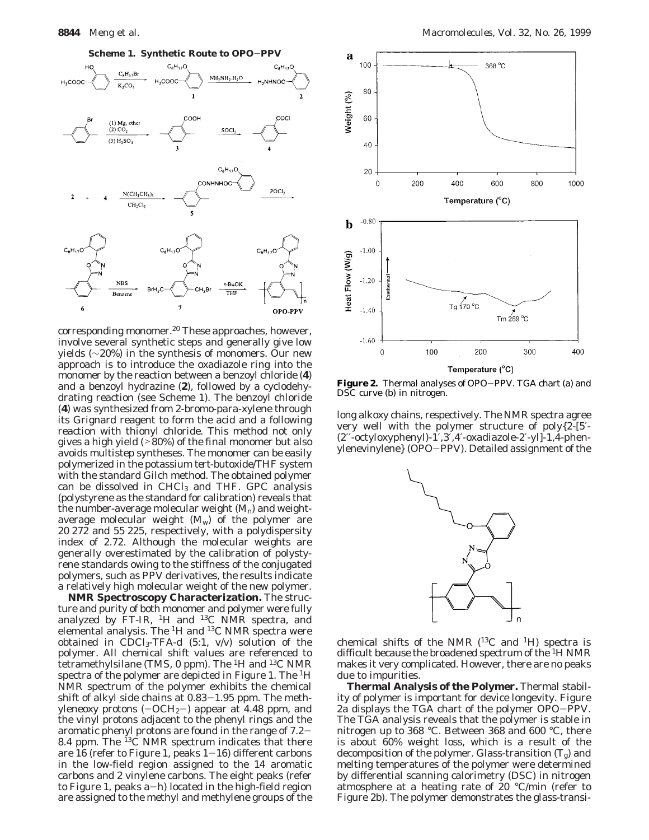

corresponding monomer.<sup>20</sup> These approaches, however, involve several synthetic steps and generally give low yields (∼20%) in the synthesis of monomers. Our new approach is to introduce the oxadiazole ring into the monomer by the reaction between a benzoyl chloride (**4**) and a benzoyl hydrazine (**2**), followed by a cyclodehydrating reaction (see Scheme 1). The benzoyl chloride (**4**) was synthesized from 2-bromo-*para*-xylene through its Grignard reagent to form the acid and a following reaction with thionyl chloride. This method not only gives a high yield  $($ >80%) of the final monomer but also avoids multistep syntheses. The monomer can be easily polymerized in the potassium *tert*-butoxide/THF system with the standard Gilch method. The obtained polymer can be dissolved in  $CHCl<sub>3</sub>$  and THF. GPC analysis (polystyrene as the standard for calibration) reveals that the number-average molecular weight  $(M_n)$  and weightaverage molecular weight  $(M_w)$  of the polymer are 20 272 and 55 225, respectively, with a polydispersity index of 2.72. Although the molecular weights are generally overestimated by the calibration of polystyrene standards owing to the stiffness of the conjugated polymers, such as PPV derivatives, the results indicate a relatively high molecular weight of the new polymer.

**NMR Spectroscopy Characterization.** The structure and purity of both monomer and polymer were fully analyzed by  $FT-IR$ , <sup>1</sup>H and <sup>13</sup>C NMR spectra, and elemental analysis. The 1H and 13C NMR spectra were obtained in CDCl3-TFA-*d* (5:1, v/v) solution of the polymer. All chemical shift values are referenced to tetramethylsilane (TMS, 0 ppm). The <sup>1</sup>H and <sup>13</sup>C NMR spectra of the polymer are depicted in Figure 1. The <sup>1</sup>H NMR spectrum of the polymer exhibits the chemical shift of alkyl side chains at 0.83-1.95 ppm. The methyleneoxy protons  $(-OCH<sub>2</sub>-)$  appear at 4.48 ppm, and the vinyl protons adjacent to the phenyl rings and the aromatic phenyl protons are found in the range of 7.2- 8.4 ppm. The  ${}^{13}C$  NMR spectrum indicates that there are 16 (refer to Figure 1, peaks  $1-16$ ) different carbons in the low-field region assigned to the 14 aromatic carbons and 2 vinylene carbons. The eight peaks (refer to Figure 1, peaks  $a-h$ ) located in the high-field region are assigned to the methyl and methylene groups of the



**Figure 2.** Thermal analyses of OPO-PPV. TGA chart (a) and DSC curve (b) in nitrogen.

long alkoxy chains, respectively. The NMR spectra agree very well with the polymer structure of poly{2-[5′- (2′′-octyloxyphenyl)-1′,3′,4′-oxadiazole-2′-yl]-1,4-phenylenevinylene} (OPO-PPV). Detailed assignment of the



chemical shifts of the NMR  $(^{13}C$  and  $^1H$ ) spectra is difficult because the broadened spectrum of the 1H NMR makes it very complicated. However, there are no peaks due to impurities.

**Thermal Analysis of the Polymer.** Thermal stability of polymer is important for device longevity. Figure 2a displays the TGA chart of the polymer OPO-PPV. The TGA analysis reveals that the polymer is stable in nitrogen up to 368 °C. Between 368 and 600 °C, there is about 60% weight loss, which is a result of the decomposition of the polymer. Glass-transition  $(T_g)$  and melting temperatures of the polymer were determined by differential scanning calorimetry (DSC) in nitrogen atmosphere at a heating rate of 20 °C/min (refer to Figure 2b). The polymer demonstrates the glass-transi-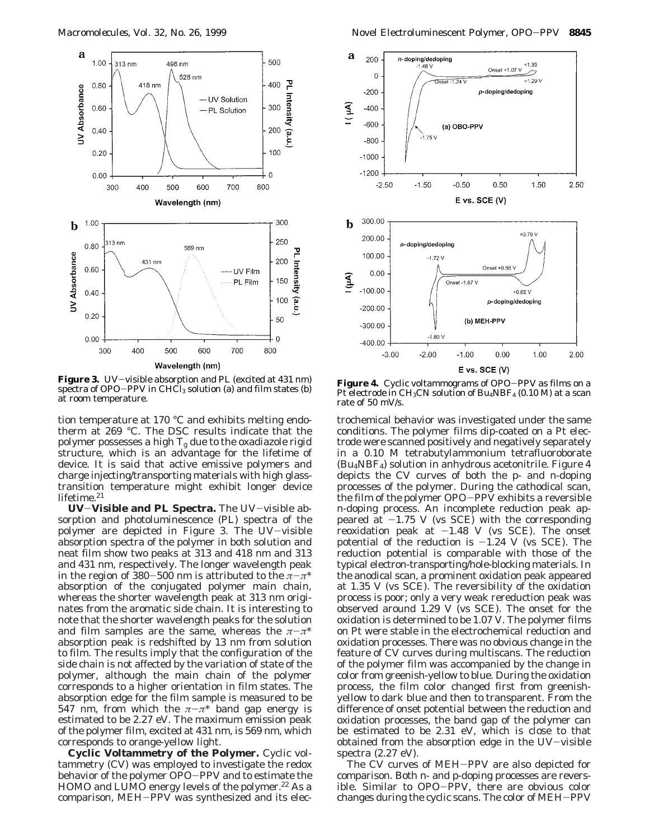

Figure 3. UV-visible absorption and PL (excited at 431 nm) spectra of OPO-PPV in  $CHCl<sub>3</sub>$  solution (a) and film states (b) at room temperature.

tion temperature at 170 °C and exhibits melting endotherm at 269 °C. The DSC results indicate that the polymer possesses a high *T*<sup>g</sup> due to the oxadiazole rigid structure, which is an advantage for the lifetime of device. It is said that active emissive polymers and charge injecting/transporting materials with high glasstransition temperature might exhibit longer device lifetime.<sup>21</sup>

**UV**-**Visible and PL Spectra.** The UV-visible absorption and photoluminescence (PL) spectra of the polymer are depicted in Figure 3. The UV-visible absorption spectra of the polymer in both solution and neat film show two peaks at 313 and 418 nm and 313 and 431 nm, respectively. The longer wavelength peak in the region of 380-500 nm is attributed to the  $\pi-\pi^*$ absorption of the conjugated polymer main chain, whereas the shorter wavelength peak at 313 nm originates from the aromatic side chain. It is interesting to note that the shorter wavelength peaks for the solution and film samples are the same, whereas the  $\pi-\pi^*$ absorption peak is redshifted by 13 nm from solution to film. The results imply that the configuration of the side chain is not affected by the variation of state of the polymer, although the main chain of the polymer corresponds to a higher orientation in film states. The absorption edge for the film sample is measured to be 547 nm, from which the  $\pi-\pi^*$  band gap energy is estimated to be 2.27 eV. The maximum emission peak of the polymer film, excited at 431 nm, is 569 nm, which corresponds to orange-yellow light.

**Cyclic Voltammetry of the Polymer.** Cyclic voltammetry (CV) was employed to investigate the redox behavior of the polymer OPO-PPV and to estimate the HOMO and LUMO energy levels of the polymer.<sup>22</sup> As a comparison, MEH-PPV was synthesized and its elec-



**Figure 4.** Cyclic voltammograms of OPO-PPV as films on a Pt electrode in  $CH_3CN$  solution of  $Bu_4NBF_4$  (0.10 M) at a scan rate of 50 mV/s.

trochemical behavior was investigated under the same conditions. The polymer films dip-coated on a Pt electrode were scanned positively and negatively separately in a 0.10 M tetrabutylammonium tetrafluoroborate (Bu4NBF4) solution in anhydrous acetonitrile. Figure 4 depicts the CV curves of both the *p-* and *n-*doping processes of the polymer. During the cathodical scan, the film of the polymer OPO-PPV exhibits a reversible *n*-doping process. An incomplete reduction peak appeared at  $-1.75$  V (vs SCE) with the corresponding reoxidation peak at  $-1.48$  V (vs SCE). The onset potential of the reduction is  $-1.24$  V (vs SCE). The reduction potential is comparable with those of the typical electron-transporting/hole-blocking materials. In the anodical scan, a prominent oxidation peak appeared at 1.35 V (vs SCE). The reversibility of the oxidation process is poor; only a very weak rereduction peak was observed around 1.29 V (vs SCE). The onset for the oxidation is determined to be 1.07 V. The polymer films on Pt were stable in the electrochemical reduction and oxidation processes. There was no obvious change in the feature of CV curves during multiscans. The reduction of the polymer film was accompanied by the change in color from greenish-yellow to blue. During the oxidation process, the film color changed first from greenishyellow to dark blue and then to transparent. From the difference of onset potential between the reduction and oxidation processes, the band gap of the polymer can be estimated to be 2.31 eV, which is close to that obtained from the absorption edge in the  $UV$ -visible spectra (2.27 eV).

The CV curves of MEH-PPV are also depicted for comparison. Both *n*- and *p*-doping processes are reversible. Similar to OPO-PPV, there are obvious color changes during the cyclic scans. The color of MEH-PPV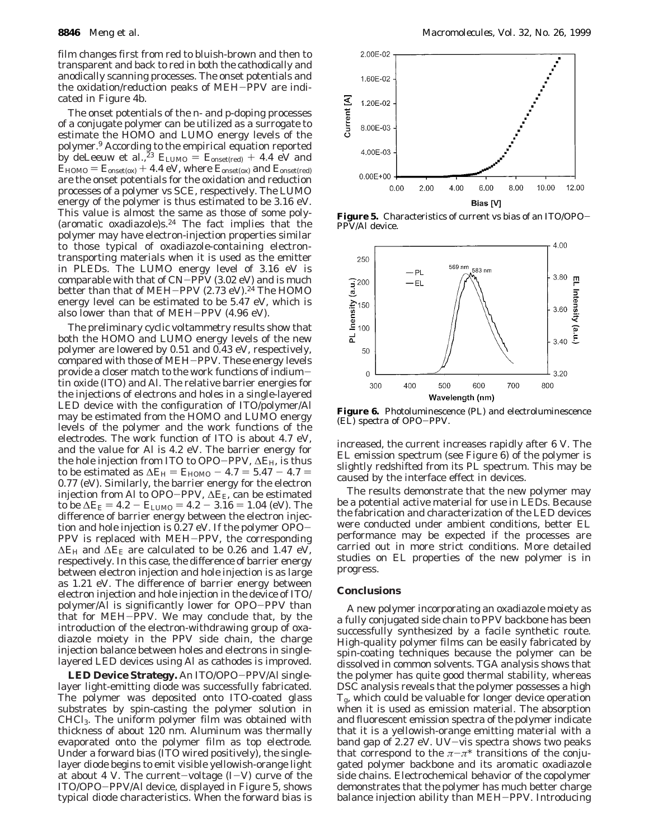film changes first from red to bluish-brown and then to transparent and back to red in both the cathodically and anodically scanning processes. The onset potentials and the oxidation/reduction peaks of MEH-PPV are indicated in Figure 4b.

The onset potentials of the *n-* and *p-*doping processes of a conjugate polymer can be utilized as a surrogate to estimate the HOMO and LUMO energy levels of the polymer.9 According to the empirical equation reported by deLeeuw et al.,<sup>23</sup>  $E_{\text{LUMO}} = E_{\text{onset(red)}} + 4.4 \text{ eV}$  and  $\tilde{E}_{\text{HOMO}} = E_{\text{onset(ox)}} + 4.4 \text{ eV}$ , where  $E_{\text{onset(ox)}}$  and  $E_{\text{onset(red)}}$ are the onset potentials for the oxidation and reduction processes of a polymer vs SCE, respectively. The LUMO energy of the polymer is thus estimated to be 3.16 eV. This value is almost the same as those of some poly- (aromatic oxadiazole)s.24 The fact implies that the polymer may have electron-injection properties similar to those typical of oxadiazole-containing electrontransporting materials when it is used as the emitter in PLEDs. The LUMO energy level of 3.16 eV is comparable with that of  $CN-P\tilde{PV}$  (3.02 eV) and is much better than that of MEH-PPV (2.73 eV).<sup>24</sup> The HOMO energy level can be estimated to be 5.47 eV, which is also lower than that of MEH-PPV (4.96 eV).

The preliminary cyclic voltammetry results show that both the HOMO and LUMO energy levels of the new polymer are lowered by 0.51 and 0.43 eV, respectively, compared with those of MEH-PPV. These energy levels provide a closer match to the work functions of indiumtin oxide (ITO) and Al. The relative barrier energies for the injections of electrons and holes in a single-layered LED device with the configuration of ITO/polymer/Al may be estimated from the HOMO and LUMO energy levels of the polymer and the work functions of the electrodes. The work function of ITO is about 4.7 eV, and the value for Al is 4.2 eV. The barrier energy for the hole injection from ITO to OPO-PPV, <sup>∆</sup>*E*H, is thus to be estimated as  $\Delta E_H = E_{HOMO} - 4.7 = 5.47 - 4.7 =$ 0.77 (eV). Similarly, the barrier energy for the electron injection from Al to OPO-PPV, <sup>∆</sup>*E*E, can be estimated to be  $\Delta E_E = 4.2 - E_{LUMO} = 4.2 - 3.16 = 1.04$  (eV). The difference of barrier energy between the electron injection and hole injection is 0.27 eV. If the polymer OPO-PPV is replaced with MEH-PPV, the corresponding  $\Delta E_H$  and  $\Delta E_E$  are calculated to be 0.26 and 1.47 eV, respectively. In this case, the difference of barrier energy between electron injection and hole injection is as large as 1.21 eV. The difference of barrier energy between electron injection and hole injection in the device of ITO/ polymer/Al is significantly lower for OPO-PPV than that for MEH-PPV. We may conclude that, by the introduction of the electron-withdrawing group of oxadiazole moiety in the PPV side chain, the charge injection balance between holes and electrons in singlelayered LED devices using Al as cathodes is improved.

**LED Device Strategy.** An ITO/OPO-PPV/Al singlelayer light-emitting diode was successfully fabricated. The polymer was deposited onto ITO-coated glass substrates by spin-casting the polymer solution in CHCl3. The uniform polymer film was obtained with thickness of about 120 nm. Aluminum was thermally evaporated onto the polymer film as top electrode. Under a forward bias  $(TTO)$  wired positively, the singlelayer diode begins to emit visible yellowish-orange light at about 4 V. The current-voltage  $(I-V)$  curve of the ITO/OPO-PPV/Al device, displayed in Figure 5, shows typical diode characteristics. When the forward bias is



**Figure 5.** Characteristics of current vs bias of an ITO/OPO-PPV/Al device.



**Figure 6.** Photoluminescence (PL) and electroluminescence (EL) spectra of OPO-PPV.

increased, the current increases rapidly after 6 V. The EL emission spectrum (see Figure 6) of the polymer is slightly redshifted from its PL spectrum. This may be caused by the interface effect in devices.

The results demonstrate that the new polymer may be a potential active material for use in LEDs. Because the fabrication and characterization of the LED devices were conducted under ambient conditions, better EL performance may be expected if the processes are carried out in more strict conditions. More detailed studies on EL properties of the new polymer is in progress.

## **Conclusions**

A new polymer incorporating an oxadiazole moiety as a fully conjugated side chain to PPV backbone has been successfully synthesized by a facile synthetic route. High-quality polymer films can be easily fabricated by spin-coating techniques because the polymer can be dissolved in common solvents. TGA analysis shows that the polymer has quite good thermal stability, whereas DSC analysis reveals that the polymer possesses a high *T*g, which could be valuable for longer device operation when it is used as emission material. The absorption and fluorescent emission spectra of the polymer indicate that it is a yellowish-orange emitting material with a band gap of 2.27 eV. UV-vis spectra shows two peaks that correspond to the  $\pi-\pi^*$  transitions of the conjugated polymer backbone and its aromatic oxadiazole side chains. Electrochemical behavior of the copolymer demonstrates that the polymer has much better charge balance injection ability than MEH-PPV. Introducing